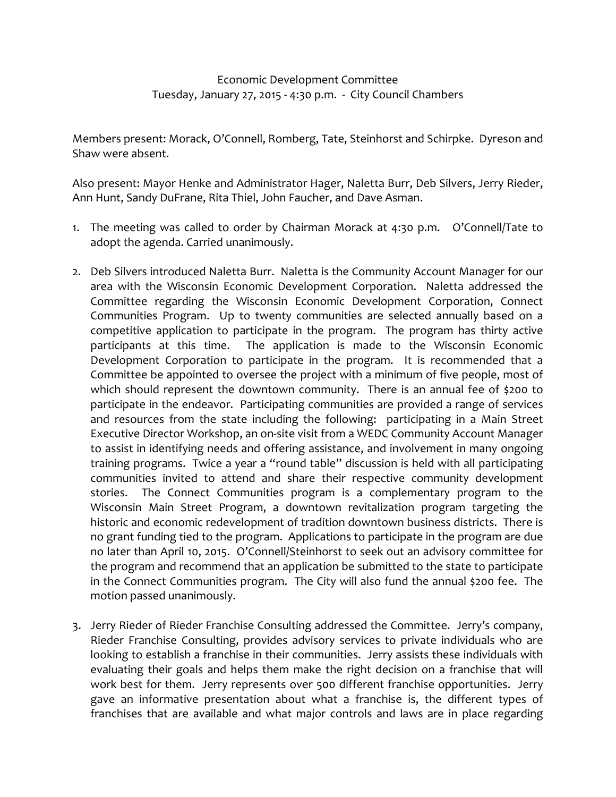## Economic Development Committee Tuesday, January 27, 2015 ‐ 4:30 p.m. ‐ City Council Chambers

Members present: Morack, O'Connell, Romberg, Tate, Steinhorst and Schirpke. Dyreson and Shaw were absent.

Also present: Mayor Henke and Administrator Hager, Naletta Burr, Deb Silvers, Jerry Rieder, Ann Hunt, Sandy DuFrane, Rita Thiel, John Faucher, and Dave Asman.

- 1. The meeting was called to order by Chairman Morack at 4:30 p.m. O'Connell/Tate to adopt the agenda. Carried unanimously.
- 2. Deb Silvers introduced Naletta Burr. Naletta is the Community Account Manager for our area with the Wisconsin Economic Development Corporation. Naletta addressed the Committee regarding the Wisconsin Economic Development Corporation, Connect Communities Program. Up to twenty communities are selected annually based on a competitive application to participate in the program. The program has thirty active participants at this time. The application is made to the Wisconsin Economic Development Corporation to participate in the program. It is recommended that a Committee be appointed to oversee the project with a minimum of five people, most of which should represent the downtown community. There is an annual fee of \$200 to participate in the endeavor. Participating communities are provided a range of services and resources from the state including the following: participating in a Main Street Executive Director Workshop, an on‐site visit from a WEDC Community Account Manager to assist in identifying needs and offering assistance, and involvement in many ongoing training programs. Twice a year a "round table" discussion is held with all participating communities invited to attend and share their respective community development stories. The Connect Communities program is a complementary program to the Wisconsin Main Street Program, a downtown revitalization program targeting the historic and economic redevelopment of tradition downtown business districts. There is no grant funding tied to the program. Applications to participate in the program are due no later than April 10, 2015. O'Connell/Steinhorst to seek out an advisory committee for the program and recommend that an application be submitted to the state to participate in the Connect Communities program. The City will also fund the annual \$200 fee. The motion passed unanimously.
- 3. Jerry Rieder of Rieder Franchise Consulting addressed the Committee. Jerry's company, Rieder Franchise Consulting, provides advisory services to private individuals who are looking to establish a franchise in their communities. Jerry assists these individuals with evaluating their goals and helps them make the right decision on a franchise that will work best for them. Jerry represents over 500 different franchise opportunities. Jerry gave an informative presentation about what a franchise is, the different types of franchises that are available and what major controls and laws are in place regarding